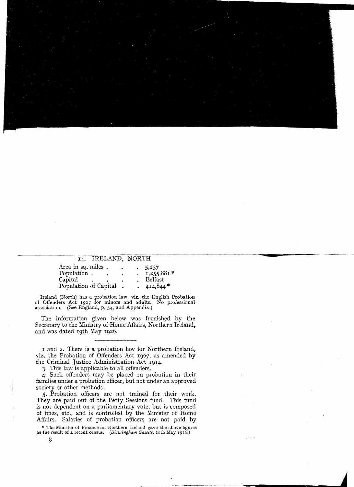## **IRELAND, NORTH I4.**

| Area in sq. miles.    |  |  | 5,237        |
|-----------------------|--|--|--------------|
| Population.           |  |  | $1,255,881*$ |
| Capital               |  |  | Belfast      |
| Population of Capital |  |  | $4I4,844*$   |

lreland (North) has a probation law, viz. the English Probation of Offenders Act 1907 for minors and adults. No professional association. (See England, p. 54, and Appendix.)

The information given below was furnished by the Secretary to the Ministry of Home Affairs, Northern Ireland, and was dated 19th May 1926.

I and 2. There is a probation law for Northern Ireland, viz. the Probation of Offenders Act I907, as amended by the Criminal Justice Administration Act I9I4.

3. This law is applicable to all offenders.

4. Such offenders may be placed on probation in their families under a probation officer, but not under an approved society or other methods.

5. Probation officers are not trained for their work. They are paid out of the Petty Sessions fund. This fund is not dependent on a parliamentary vote, but is composed of fines, etc., and is controlled by the Minister of Home Affairs. Salaries of probation officers are not paid by

\* The Minister of Finance for Northern Ireland gave the above figures as the result of a recent census,  $(Birmingham$  *Gazette*, 20th May 1926.)

**"**